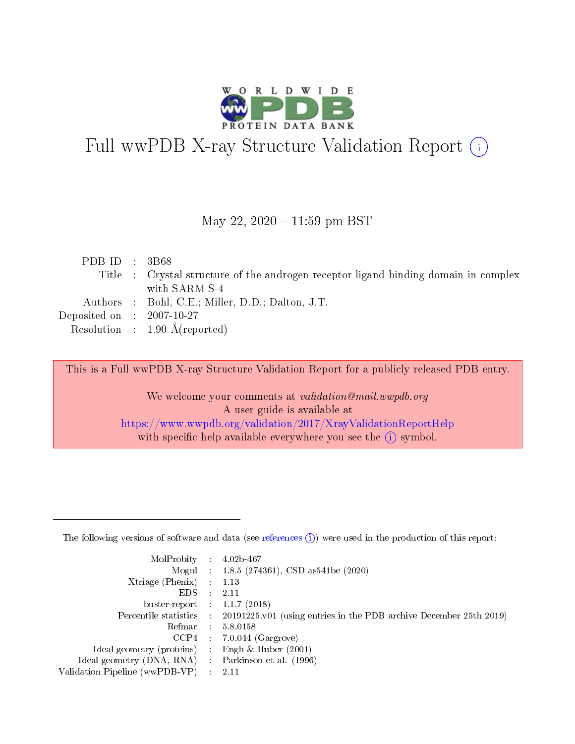

# Full wwPDB X-ray Structure Validation Report (i)

#### May 22, 2020 - 11:59 pm BST

| Title : Crystal structure of the androgen receptor ligand binding domain in complex |  |
|-------------------------------------------------------------------------------------|--|
|                                                                                     |  |
| with SARM S-4                                                                       |  |
| Authors : Bohl, C.E.; Miller, D.D.; Dalton, J.T.                                    |  |
| Deposited on $\therefore$ 2007-10-27                                                |  |
| Resolution : $1.90 \text{ Å}$ (reported)                                            |  |

This is a Full wwPDB X-ray Structure Validation Report for a publicly released PDB entry.

We welcome your comments at validation@mail.wwpdb.org A user guide is available at <https://www.wwpdb.org/validation/2017/XrayValidationReportHelp> with specific help available everywhere you see the  $(i)$  symbol.

The following versions of software and data (see [references](https://www.wwpdb.org/validation/2017/XrayValidationReportHelp#references)  $(1)$ ) were used in the production of this report:

| MolProbity                     | $\mathcal{L}_{\rm{max}}$ | $4.02b - 467$                                                                |
|--------------------------------|--------------------------|------------------------------------------------------------------------------|
|                                |                          | Mogul : $1.8.5$ (274361), CSD as 541be (2020)                                |
| $X$ triage (Phenix) :          |                          | 1.13                                                                         |
| EDS.                           |                          | 2.11                                                                         |
| buster-report : $1.1.7$ (2018) |                          |                                                                              |
| Percentile statistics :        |                          | $20191225 \text{ v}01$ (using entries in the PDB archive December 25th 2019) |
| Refmac                         |                          | 5.8.0158                                                                     |
| $CCP4$ :                       |                          | $7.0.044$ (Gargrove)                                                         |
| Ideal geometry (proteins) :    |                          | Engh $\&$ Huber (2001)                                                       |
| Ideal geometry (DNA, RNA) :    |                          | Parkinson et al. (1996)                                                      |
| Validation Pipeline (wwPDB-VP) | $\mathcal{L}$            | -2.11                                                                        |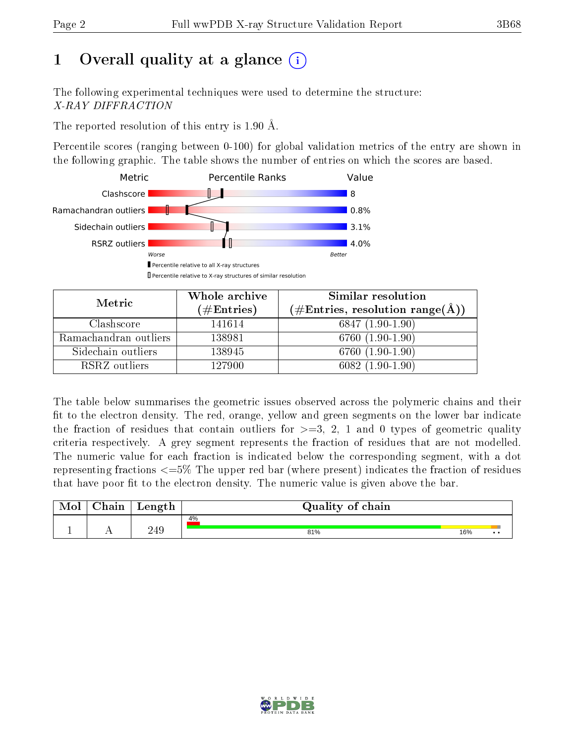## 1 [O](https://www.wwpdb.org/validation/2017/XrayValidationReportHelp#overall_quality)verall quality at a glance  $(i)$

The following experimental techniques were used to determine the structure: X-RAY DIFFRACTION

The reported resolution of this entry is 1.90 Å.

Percentile scores (ranging between 0-100) for global validation metrics of the entry are shown in the following graphic. The table shows the number of entries on which the scores are based.



| Metric                | Whole archive<br>$(\#\mathrm{Entries})$ | Similar resolution<br>$(\#\text{Entries}, \text{resolution range}(\text{\AA}))$ |  |
|-----------------------|-----------------------------------------|---------------------------------------------------------------------------------|--|
| Clashscore            | 141614                                  | $6847(1.90-1.90)$                                                               |  |
| Ramachandran outliers | 138981                                  | 6760 (1.90-1.90)                                                                |  |
| Sidechain outliers    | 138945                                  | 6760 (1.90-1.90)                                                                |  |
| RSRZ outliers         | 127900                                  | $6082(1.90-1.90)$                                                               |  |

The table below summarises the geometric issues observed across the polymeric chains and their fit to the electron density. The red, orange, yellow and green segments on the lower bar indicate the fraction of residues that contain outliers for  $\geq=3$ , 2, 1 and 0 types of geometric quality criteria respectively. A grey segment represents the fraction of residues that are not modelled. The numeric value for each fraction is indicated below the corresponding segment, with a dot representing fractions  $\epsilon = 5\%$  The upper red bar (where present) indicates the fraction of residues that have poor fit to the electron density. The numeric value is given above the bar.

| . $M_0$ ' | $\cap$ hain | Length | Quality of chain |     |              |
|-----------|-------------|--------|------------------|-----|--------------|
|           |             |        | 4%               |     |              |
|           |             | 249    | 81%              | 16% | $\cdot\cdot$ |

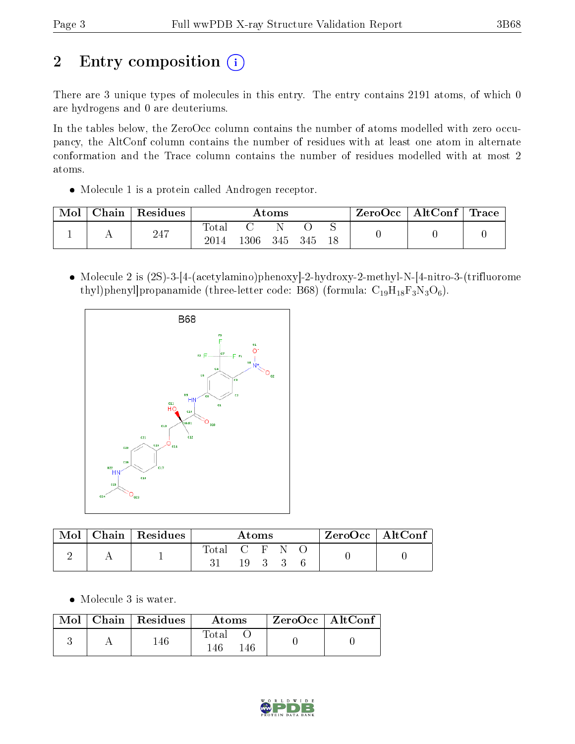# 2 Entry composition (i)

There are 3 unique types of molecules in this entry. The entry contains 2191 atoms, of which 0 are hydrogens and 0 are deuteriums.

In the tables below, the ZeroOcc column contains the number of atoms modelled with zero occupancy, the AltConf column contains the number of residues with at least one atom in alternate conformation and the Trace column contains the number of residues modelled with at most 2 atoms.

• Molecule 1 is a protein called Androgen receptor.

| Mol | Chain | Residues | Atoms            |       |       |    | ZeroOcc | $\mid$ AltConf $\mid$ Trace $\mid$ |  |  |
|-----|-------|----------|------------------|-------|-------|----|---------|------------------------------------|--|--|
|     |       | 247      | $\mathrm{Total}$ |       |       |    | ◡       |                                    |  |  |
|     |       | 2014     | l 306 -          | - 345 | - 345 | 18 |         |                                    |  |  |

 Molecule 2 is (2S)-3-[4-(acetylamino)phenoxy]-2-hydroxy-2-methyl-N-[4-nitro-3-(trifluorome thyl)phenyl]propanamide (three-letter code: B68) (formula:  $C_{19}H_{18}F_3N_3O_6$ ).



| Mol | Chain   Residues | Atoms         |  |  | ZeroOcc   AltConf |  |  |  |
|-----|------------------|---------------|--|--|-------------------|--|--|--|
|     |                  | Total C F N O |  |  | 19 3 3            |  |  |  |

Molecule 3 is water.

|  | $Mol$   Chain   Residues | Atoms              | ZeroOcc   AltConf |  |
|--|--------------------------|--------------------|-------------------|--|
|  | 46                       | Total<br> 46<br>46 |                   |  |

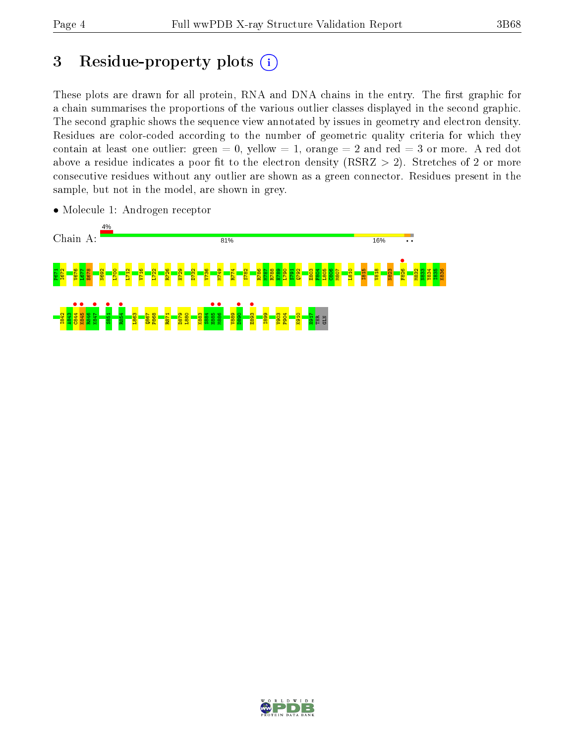## 3 Residue-property plots  $(i)$

These plots are drawn for all protein, RNA and DNA chains in the entry. The first graphic for a chain summarises the proportions of the various outlier classes displayed in the second graphic. The second graphic shows the sequence view annotated by issues in geometry and electron density. Residues are color-coded according to the number of geometric quality criteria for which they contain at least one outlier: green  $= 0$ , yellow  $= 1$ , orange  $= 2$  and red  $= 3$  or more. A red dot above a residue indicates a poor fit to the electron density (RSRZ  $> 2$ ). Stretches of 2 or more consecutive residues without any outlier are shown as a green connector. Residues present in the sample, but not in the model, are shown in grey.



• Molecule 1: Androgen receptor

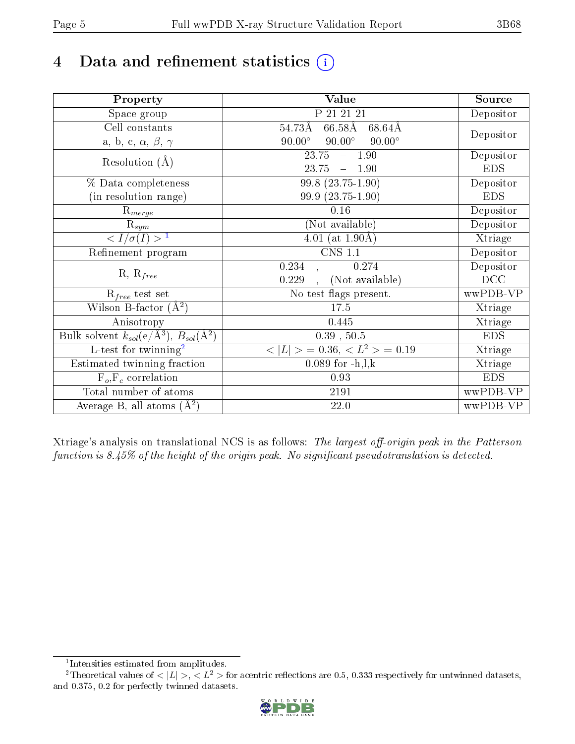# 4 Data and refinement statistics  $(i)$

| Property                                                             | <b>Value</b>                                             | Source     |
|----------------------------------------------------------------------|----------------------------------------------------------|------------|
| Space group                                                          | P 21 21 21                                               | Depositor  |
| Cell constants                                                       | $66.58\text{\AA}$<br>54.73Å<br>68.64Å                    |            |
| a, b, c, $\alpha$ , $\beta$ , $\gamma$                               | $90.00^\circ$<br>$90.00^\circ$<br>$90.00^\circ$          | Depositor  |
| Resolution $(A)$                                                     | 23.75<br>$-1.90$                                         | Depositor  |
|                                                                      | 23.75<br>$-1.90$                                         | <b>EDS</b> |
| % Data completeness                                                  | $99.8(23.75-1.90)$                                       | Depositor  |
| (in resolution range)                                                | 99.9 (23.75-1.90)                                        | <b>EDS</b> |
| $\mathrm{R}_{merge}$                                                 | 0.16                                                     | Depositor  |
| $\mathrm{R}_{sym}$                                                   | (Not available)                                          | Depositor  |
| $\langle I/\sigma(I) \rangle^{-1}$                                   | 4.01 (at $1.90\text{\AA}$ )                              | Xtriage    |
| Refinement program                                                   | $CNS$ 1.1                                                | Depositor  |
|                                                                      | 0.234<br>0.274                                           | Depositor  |
| $R, R_{free}$                                                        | (Not available)<br>0.229                                 | DCC        |
| $R_{free}$ test set                                                  | No test flags present.                                   | wwPDB-VP   |
| Wilson B-factor $(A^2)$                                              | 17.5                                                     | Xtriage    |
| Anisotropy                                                           | 0.445                                                    | Xtriage    |
| Bulk solvent $k_{sol}(e/\mathring{A}^3)$ , $B_{sol}(\mathring{A}^2)$ | $0.39$ , $50.5$                                          | <b>EDS</b> |
| $\overline{L-test for }$ twinning <sup>2</sup>                       | $\langle  L  \rangle = 0.36, \langle L^2 \rangle = 0.19$ | Xtriage    |
| Estimated twinning fraction                                          | $0.089$ for $-h, l, k$                                   | Xtriage    |
| $F_o, F_c$ correlation                                               | 0.93                                                     | <b>EDS</b> |
| Total number of atoms                                                | 2191                                                     | wwPDB-VP   |
| Average B, all atoms $(A^2)$                                         | 22.0                                                     | wwPDB-VP   |

Xtriage's analysis on translational NCS is as follows: The largest off-origin peak in the Patterson function is  $8.45\%$  of the height of the origin peak. No significant pseudotranslation is detected.

<sup>&</sup>lt;sup>2</sup>Theoretical values of  $\langle |L| \rangle$ ,  $\langle L^2 \rangle$  for acentric reflections are 0.5, 0.333 respectively for untwinned datasets, and 0.375, 0.2 for perfectly twinned datasets.



<span id="page-4-1"></span><span id="page-4-0"></span><sup>1</sup> Intensities estimated from amplitudes.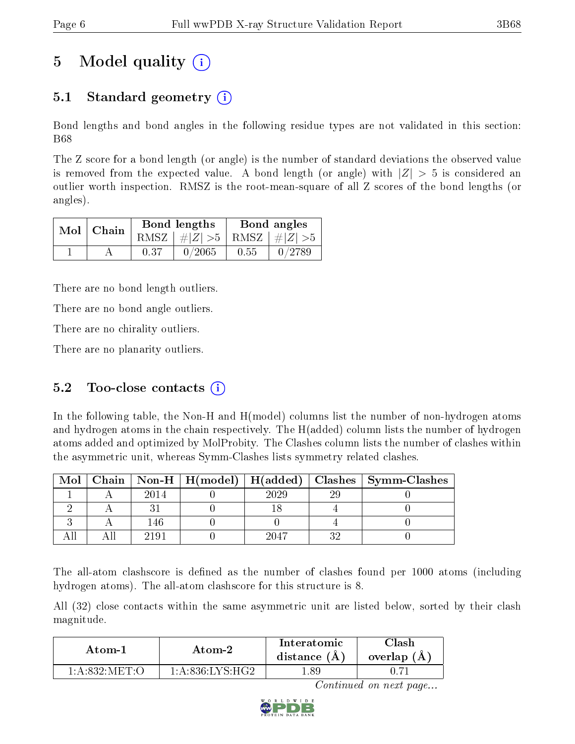## 5 Model quality  $(i)$

### 5.1 Standard geometry  $\overline{()}$

Bond lengths and bond angles in the following residue types are not validated in this section: B68

The Z score for a bond length (or angle) is the number of standard deviations the observed value is removed from the expected value. A bond length (or angle) with  $|Z| > 5$  is considered an outlier worth inspection. RMSZ is the root-mean-square of all Z scores of the bond lengths (or angles).

| $Mol$   Chain |      | Bond lengths                    | Bond angles |        |  |
|---------------|------|---------------------------------|-------------|--------|--|
|               |      | RMSZ $ #Z  > 5$ RMSZ $ #Z  > 5$ |             |        |  |
|               | 0.37 | 0/2065                          | 0.55        | 0/2789 |  |

There are no bond length outliers.

There are no bond angle outliers.

There are no chirality outliers.

There are no planarity outliers.

#### 5.2 Too-close contacts  $(i)$

In the following table, the Non-H and H(model) columns list the number of non-hydrogen atoms and hydrogen atoms in the chain respectively. The H(added) column lists the number of hydrogen atoms added and optimized by MolProbity. The Clashes column lists the number of clashes within the asymmetric unit, whereas Symm-Clashes lists symmetry related clashes.

| Mol |      |      |    | Chain   Non-H   H(model)   H(added)   Clashes   Symm-Clashes |
|-----|------|------|----|--------------------------------------------------------------|
|     | 2014 | 2029 | 20 |                                                              |
|     |      |      |    |                                                              |
|     | 146  |      |    |                                                              |
|     |      | 2047 |    |                                                              |

The all-atom clashscore is defined as the number of clashes found per 1000 atoms (including hydrogen atoms). The all-atom clashscore for this structure is 8.

All (32) close contacts within the same asymmetric unit are listed below, sorted by their clash magnitude.

| Atom-1         | Atom-2                           |     | 7lash<br>overlap (A) |
|----------------|----------------------------------|-----|----------------------|
| 1 A 832 MET () | $1:$ A:836:LYS·H $\overline{C2}$ | -89 |                      |

Continued on next page...

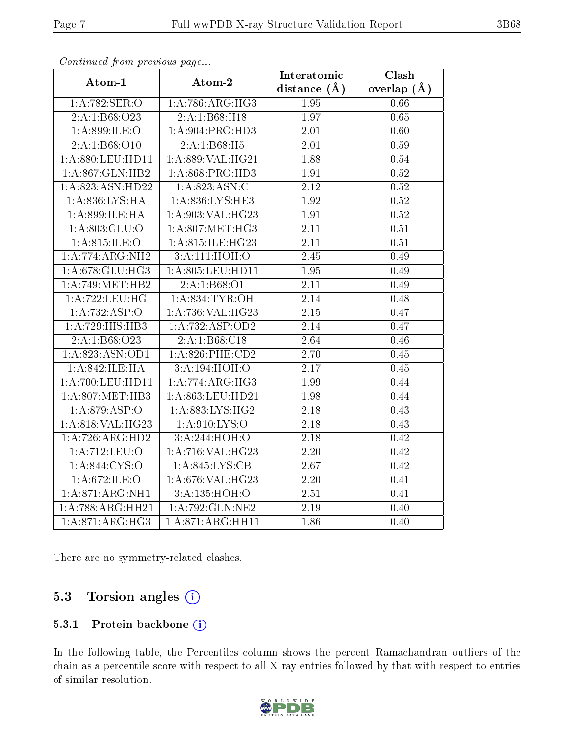| s o heerewou gro me proceso ao pago |                                      | Interatomic       | Clash             |
|-------------------------------------|--------------------------------------|-------------------|-------------------|
| Atom-1                              | Atom-2                               | distance $(\AA)$  | overlap $(\AA)$   |
| 1:A:782:SER:O                       | 1: A:786:ARG:HG3                     | 1.95              | 0.66              |
| 2:A:1:B68:O23                       | 2:A:1:B68:H18                        | 1.97              | 0.65              |
| 1:A:899:ILE:O                       | 1: A:904: PRO:HD3                    | 2.01              | 0.60              |
| 2:A:1:B68:O10                       | 2:A:1:B68:H5                         | 2.01              | 0.59              |
| 1: A:880: LEU: HD11                 | 1: A:889: VAL:HG21                   | 1.88              | 0.54              |
| 1:A:867:GLN:HB2                     | 1:A:868:PRO:HD3                      | 1.91              | 0.52              |
| 1:A:823:ASN:HD22                    | 1:A:823:ASN:C                        | $\overline{2.12}$ | 0.52              |
| 1:A:836:LYS:HA                      | 1:A:836:LYS:HE3                      | 1.92              | $0.52\,$          |
| 1:A:899:ILE:HA                      | 1: A:903: VAL: HG23                  | 1.91              | 0.52              |
| 1:A:803:GLU:O                       | 1: A:807: MET:HG3                    | 2.11              | 0.51              |
| 1:A:815:ILE:O                       | 1:A:815:ILE:HG23                     | $\overline{2.11}$ | $\overline{0.51}$ |
| 1:A:774:ARG:NH2                     | 3:A:111:HOH:O                        | 2.45              | 0.49              |
| 1:A:678:GLU:HG3                     | 1:A:805:LEU:HD11                     | 1.95              | 0.49              |
| 1: A:749:MET:HB2                    | 2:A:1:B68:O1                         | 2.11              | 0.49              |
| 1:A:722:LEU:HG                      | 1: A:834:TYR:OH                      | 2.14              | 0.48              |
| 1:A:732:ASP:O                       | 1:A:736:VAL:HG23                     | 2.15              | 0.47              |
| 1:A:729:HIS:HB3                     | 1:A:732:ASP:OD2                      | 2.14              | 0.47              |
| 2:A:1:B68:O23                       | 2:A:1:B68:C18                        | 2.64              | 0.46              |
| 1:A:823:ASN:OD1                     | $1: A:826:$ PHE: $CD2$               | 2.70              | 0.45              |
| 1:A:842:ILE:HA                      | 3:A:194:HOH:O                        | $\overline{2}.17$ | 0.45              |
| 1: A:700: LEU: HD11                 | 1:A:774:ARG:HG3                      | 1.99              | 0.44              |
| 1:A:807:MET:HB3                     | 1:A:863:LEU:HD21                     | 1.98              | 0.44              |
| 1:A:879:ASP:O                       | 1:A:883:LYS:HG2                      | 2.18              | 0.43              |
| 1:A:818:VAL:HG23                    | 1: A:910: LYS:O                      | 2.18              | 0.43              |
| 1: A:726: ARG:HD2                   | 3:A:244:HOH:O                        | 2.18              | 0.42              |
| 1:A:712:LEU:O                       | $1:A:716:\overline{\text{VAL}}:HG23$ | 2.20              | 0.42              |
| 1: A:844: CYS:O                     | 1:A:845:LYS:CB                       | 2.67              | 0.42              |
| 1: A:672: ILE: O                    | 1: A:676: VAL:HG23                   | 2.20              | 0.41              |
| 1:A:871:ARG:NH1                     | 3:A:135:HOH:O                        | 2.51              | 0.41              |
| 1:A:788:ARG:HH21                    | 1:A:792:GLN:NE2                      | 2.19              | 0.40              |
| $1:A:871:A\overline{RG:HG3}$        | 1:A:871:ARG:HH11                     | 1.86              | 0.40              |

Continued from previous page...

There are no symmetry-related clashes.

### 5.3 Torsion angles (i)

#### 5.3.1 Protein backbone (i)

In the following table, the Percentiles column shows the percent Ramachandran outliers of the chain as a percentile score with respect to all X-ray entries followed by that with respect to entries of similar resolution.

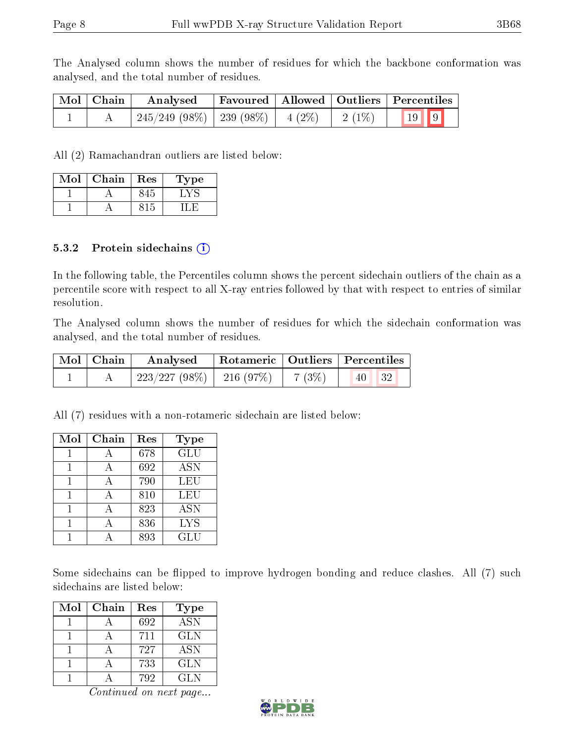The Analysed column shows the number of residues for which the backbone conformation was analysed, and the total number of residues.

| Mol   Chain | Analysed                                |  |  | Favoured   Allowed   Outliers   Percentiles |                          |
|-------------|-----------------------------------------|--|--|---------------------------------------------|--------------------------|
|             | $245/249$ (98\%)   239 (98\%)   4 (2\%) |  |  | $2(1\%)$                                    | $\boxed{19}$ $\boxed{9}$ |

All (2) Ramachandran outliers are listed below:

| Mol | ${\bf Chain}$ | Res | ype |
|-----|---------------|-----|-----|
|     |               |     |     |
|     |               |     |     |

#### 5.3.2 Protein sidechains  $(i)$

In the following table, the Percentiles column shows the percent sidechain outliers of the chain as a percentile score with respect to all X-ray entries followed by that with respect to entries of similar resolution.

The Analysed column shows the number of residues for which the sidechain conformation was analysed, and the total number of residues.

| Mol   Chain | Analysed                      |  |             | Rotameric   Outliers   Percentiles |    |
|-------------|-------------------------------|--|-------------|------------------------------------|----|
|             | $223/227$ (98\%)   216 (97\%) |  | $  7 (3\%)$ | $\vert 40 \vert \vert$             | 32 |

All (7) residues with a non-rotameric sidechain are listed below:

| Mol | Chain | Res | <b>Type</b>               |
|-----|-------|-----|---------------------------|
|     |       | 678 | $\overline{\mathrm{GLU}}$ |
|     |       | 692 | <b>ASN</b>                |
|     |       | 790 | LEU                       |
|     |       | 810 | LEU                       |
|     |       | 823 | <b>ASN</b>                |
|     |       | 836 | <b>LYS</b>                |
|     |       | 893 | GLU                       |

Some sidechains can be flipped to improve hydrogen bonding and reduce clashes. All (7) such sidechains are listed below:

| Mol | Chain | Res | Type       |
|-----|-------|-----|------------|
|     |       | 692 | <b>ASN</b> |
|     |       | 711 | GLN        |
|     |       | 727 | <b>ASN</b> |
|     |       | 733 | GLN        |
|     |       | 792 | GL N       |

Continued on next page...

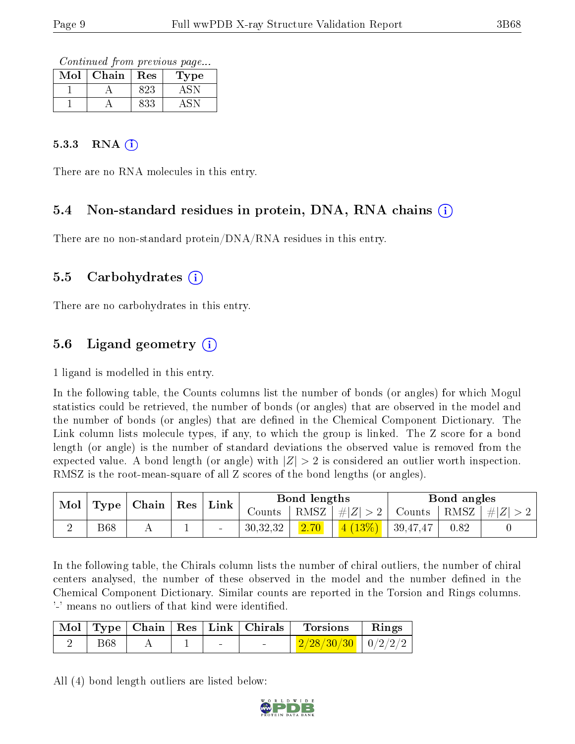Continued from previous page...

| Mol | Chain | Res | 1'ype |
|-----|-------|-----|-------|
|     |       | 823 |       |
|     |       | 833 |       |

#### 5.3.3 RNA  $(i)$

There are no RNA molecules in this entry.

### 5.4 Non-standard residues in protein, DNA, RNA chains (i)

There are no non-standard protein/DNA/RNA residues in this entry.

#### 5.5 Carbohydrates (i)

There are no carbohydrates in this entry.

### 5.6 Ligand geometry (i)

1 ligand is modelled in this entry.

In the following table, the Counts columns list the number of bonds (or angles) for which Mogul statistics could be retrieved, the number of bonds (or angles) that are observed in the model and the number of bonds (or angles) that are dened in the Chemical Component Dictionary. The Link column lists molecule types, if any, to which the group is linked. The Z score for a bond length (or angle) is the number of standard deviations the observed value is removed from the expected value. A bond length (or angle) with  $|Z| > 2$  is considered an outlier worth inspection. RMSZ is the root-mean-square of all Z scores of the bond lengths (or angles).

| $\mid$ Type   Chain   Res  <br>Mol |            |  |        |                      |      | Link                          |      | Bond lengths                        |  | Bond angles |  |
|------------------------------------|------------|--|--------|----------------------|------|-------------------------------|------|-------------------------------------|--|-------------|--|
|                                    |            |  |        | Counts $\frac{1}{2}$ |      | RMSZ   $\# Z  > 2$            |      | $\perp$ Counts   RMSZ   $\# Z  > 2$ |  |             |  |
|                                    | <b>B68</b> |  | $\sim$ | 30,32,32             | 2.70 | $\frac{4(13\%)}{4(39,47,47)}$ | 0.82 |                                     |  |             |  |

In the following table, the Chirals column lists the number of chiral outliers, the number of chiral centers analysed, the number of these observed in the model and the number defined in the Chemical Component Dictionary. Similar counts are reported in the Torsion and Rings columns. '-' means no outliers of that kind were identified.

|            |  |                          | Mol   Type   Chain   Res   Link   Chirals | <b>Torsions</b>                        | $\mathbf{Rings}$ |
|------------|--|--------------------------|-------------------------------------------|----------------------------------------|------------------|
| <b>B68</b> |  | $\overline{\phantom{0}}$ |                                           | $\frac{2}{28/30/30}$ $\frac{1}{2}/2/2$ |                  |

All (4) bond length outliers are listed below:

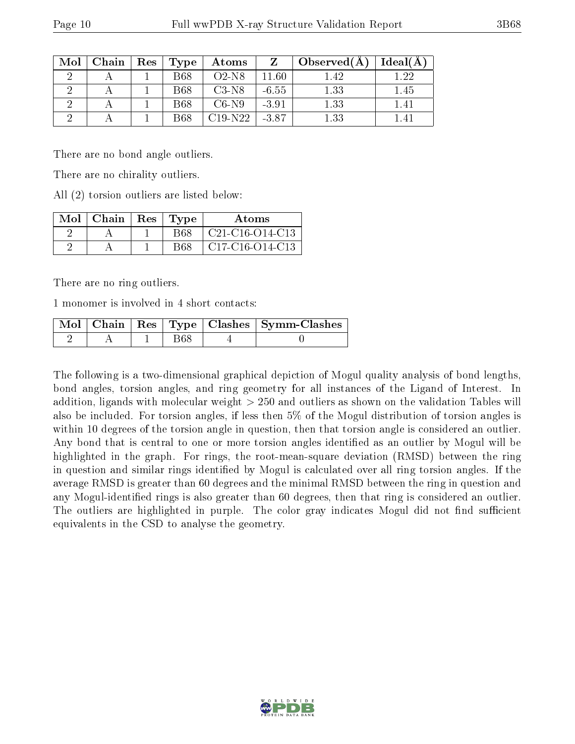| Mol | Chain | $\operatorname{Res}$ | Type       | Atoms    |         | Observed(A) | Ideal(A) |
|-----|-------|----------------------|------------|----------|---------|-------------|----------|
|     |       |                      | <b>B68</b> | $O2-N8$  | 11.60   | 1.42        | 1.22     |
|     |       |                      | <b>B68</b> | C3-N8    | $-6.55$ | 1.33        | 1.45     |
|     |       |                      | <b>B68</b> | $C6-N9$  | $-3.91$ | 1.33        | 1.41     |
|     |       |                      | <b>B68</b> | C19-N22- | $-3.87$ | 1.33        |          |

There are no bond angle outliers.

There are no chirality outliers.

All (2) torsion outliers are listed below:

| $Mol$   Chain | $Res$ Type | Atoms                  |
|---------------|------------|------------------------|
|               | B68        | $\mid$ C21-C16-O14-C13 |
|               | B68        | $C17-C16-O14-C13$      |

There are no ring outliers.

1 monomer is involved in 4 short contacts:

|  |  | Mol   Chain   Res   Type   Clashes   Symm-Clashes |
|--|--|---------------------------------------------------|
|  |  |                                                   |

The following is a two-dimensional graphical depiction of Mogul quality analysis of bond lengths, bond angles, torsion angles, and ring geometry for all instances of the Ligand of Interest. In addition, ligands with molecular weight > 250 and outliers as shown on the validation Tables will also be included. For torsion angles, if less then 5% of the Mogul distribution of torsion angles is within 10 degrees of the torsion angle in question, then that torsion angle is considered an outlier. Any bond that is central to one or more torsion angles identified as an outlier by Mogul will be highlighted in the graph. For rings, the root-mean-square deviation (RMSD) between the ring in question and similar rings identified by Mogul is calculated over all ring torsion angles. If the average RMSD is greater than 60 degrees and the minimal RMSD between the ring in question and any Mogul-identified rings is also greater than 60 degrees, then that ring is considered an outlier. The outliers are highlighted in purple. The color gray indicates Mogul did not find sufficient equivalents in the CSD to analyse the geometry.

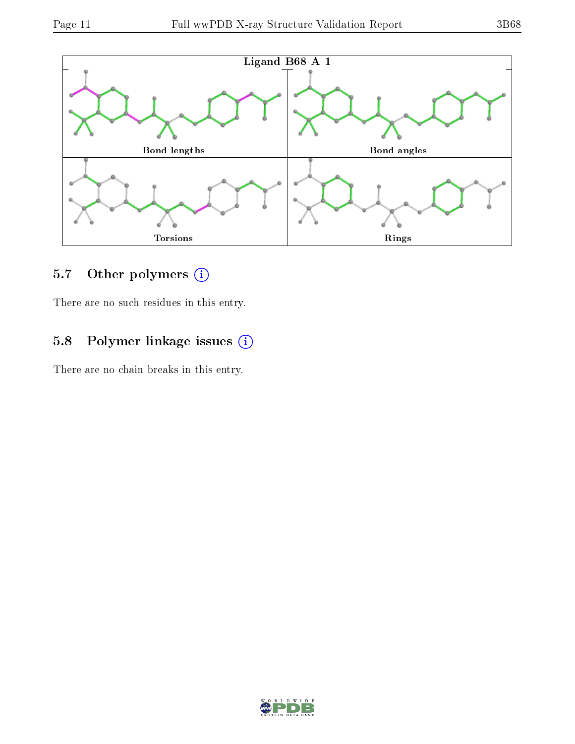

### 5.7 [O](https://www.wwpdb.org/validation/2017/XrayValidationReportHelp#nonstandard_residues_and_ligands)ther polymers (i)

There are no such residues in this entry.

### 5.8 Polymer linkage issues (i)

There are no chain breaks in this entry.

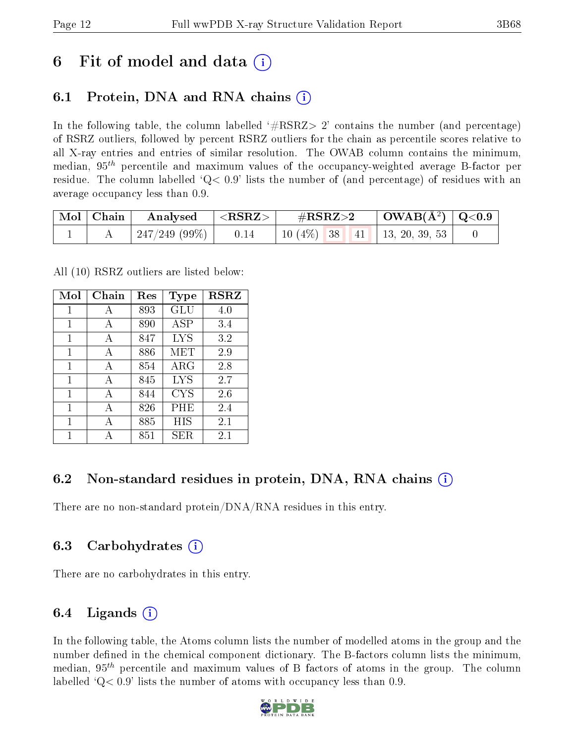## 6 Fit of model and data  $\left( \cdot \right)$

### 6.1 Protein, DNA and RNA chains (i)

In the following table, the column labelled  $#RSRZ>2'$  contains the number (and percentage) of RSRZ outliers, followed by percent RSRZ outliers for the chain as percentile scores relative to all X-ray entries and entries of similar resolution. The OWAB column contains the minimum, median,  $95<sup>th</sup>$  percentile and maximum values of the occupancy-weighted average B-factor per residue. The column labelled  $Q< 0.9$  lists the number of (and percentage) of residues with an average occupancy less than 0.9.

| $\mid$ Mol $\mid$ Chain | $\quad$ Analysed $\quad$ $\mid$ <rsrz></rsrz> | $\rm \#RSRZ{>}2$                      | $\vert$ OWAB(Å <sup>2</sup> ) $\vert$ Q<0.9 |  |
|-------------------------|-----------------------------------------------|---------------------------------------|---------------------------------------------|--|
|                         | $247/249$ (99\%)   0.14                       | 10 $(4\%)$   38   41   13, 20, 39, 53 |                                             |  |

All (10) RSRZ outliers are listed below:

| Mol | Chain | $\operatorname{Res}% \left( \mathcal{N}\right) \equiv\operatorname{Res}(\mathcal{N}_{0})\cap\mathcal{N}_{1}$ | <b>Type</b> | <b>RSRZ</b> |  |
|-----|-------|--------------------------------------------------------------------------------------------------------------|-------------|-------------|--|
| 1   | А     | 893                                                                                                          | <b>GLU</b>  | 4.0         |  |
| 1   | A     | 890                                                                                                          | ASP         | 3.4         |  |
| 1   | A     | 847                                                                                                          | <b>LYS</b>  | 3.2         |  |
| 1   | A     | 886                                                                                                          | MET         | 2.9         |  |
| 1   | A     | 854                                                                                                          | $\rm{ARG}$  | 2.8         |  |
| 1   | A     | 845                                                                                                          | <b>LYS</b>  | 2.7         |  |
| 1   | A     | 844                                                                                                          | <b>CYS</b>  | 2.6         |  |
| 1   | A     | 826                                                                                                          | PHE         | 2.4         |  |
| 1   | А     | 885                                                                                                          | HIS         | 2.1         |  |
| 1   |       | 851                                                                                                          | SER.        | 2.1         |  |

### 6.2 Non-standard residues in protein, DNA, RNA chains (i)

There are no non-standard protein/DNA/RNA residues in this entry.

### 6.3 Carbohydrates (i)

There are no carbohydrates in this entry.

### 6.4 Ligands  $(i)$

In the following table, the Atoms column lists the number of modelled atoms in the group and the number defined in the chemical component dictionary. The B-factors column lists the minimum, median,  $95<sup>th</sup>$  percentile and maximum values of B factors of atoms in the group. The column labelled  $Q< 0.9$ ' lists the number of atoms with occupancy less than 0.9.